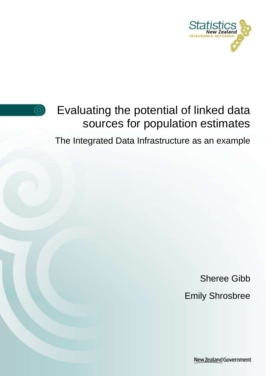



# Evaluating the potential of linked data sources for population estimates

The Integrated Data Infrastructure as an example

Sheree Gibb Emily Shrosbree

New Zealand Government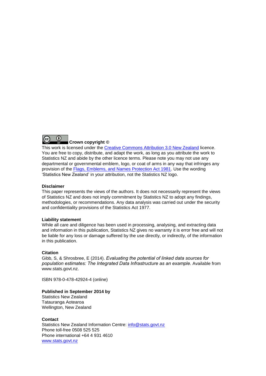

This work is licensed under the [Creative Commons Attribution 3.0 New Zealand](http://creativecommons.org/licenses/by/3.0/nz/deed.en) licence. You are free to copy, distribute, and adapt the work, as long as you attribute the work to Statistics NZ and abide by the other licence terms. Please note you may not use any departmental or governmental emblem, logo, or coat of arms in any way that infringes any provision of the [Flags, Emblems, and Names Protection Act 1981.](http://www.legislation.govt.nz/act/public/1981/0047/latest/DLM51358.html) Use the wording 'Statistics New Zealand' in your attribution, not the Statistics NZ logo.

#### **Disclaimer**

This paper represents the views of the authors. It does not necessarily represent the views of Statistics NZ and does not imply commitment by Statistics NZ to adopt any findings, methodologies, or recommendations. Any data analysis was carried out under the security and confidentiality provisions of the Statistics Act 1977.

#### **Liability statement**

While all care and diligence has been used in processing, analysing, and extracting data and information in this publication, Statistics NZ gives no warranty it is error free and will not be liable for any loss or damage suffered by the use directly, or indirectly, of the information in this publication.

#### **Citation**

Gibb, S, & Shrosbree, E (2014). Evaluating the potential of linked data sources for population estimates: The Integrated Data Infrastructure as an example. Available from www.stats.govt.nz.

ISBN 978-0-478-42924-4 (online)

#### **Published in September 2014 by**

Statistics New Zealand Tatauranga Aotearoa Wellington, New Zealand

#### **Contact**

Statistics New Zealand Information Centre: [info@stats.govt.nz](mailto:info@stats.govt.nz) Phone toll-free 0508 525 525 Phone international +64 4 931 4610 [www.stats.govt.nz](http://www.stats.govt.nz/)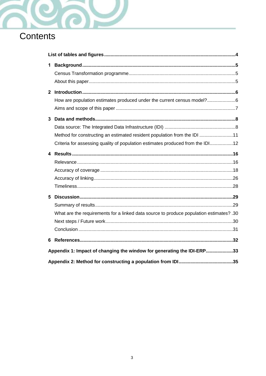

# Contents

| 1                                                                      |                                                                                         |  |  |  |
|------------------------------------------------------------------------|-----------------------------------------------------------------------------------------|--|--|--|
|                                                                        |                                                                                         |  |  |  |
|                                                                        |                                                                                         |  |  |  |
| $\mathbf{2}$                                                           |                                                                                         |  |  |  |
|                                                                        | How are population estimates produced under the current census model?6                  |  |  |  |
|                                                                        |                                                                                         |  |  |  |
| 3                                                                      |                                                                                         |  |  |  |
|                                                                        |                                                                                         |  |  |  |
|                                                                        | Method for constructing an estimated resident population from the IDI 11                |  |  |  |
|                                                                        | Criteria for assessing quality of population estimates produced from the IDI12          |  |  |  |
|                                                                        |                                                                                         |  |  |  |
|                                                                        |                                                                                         |  |  |  |
|                                                                        |                                                                                         |  |  |  |
|                                                                        |                                                                                         |  |  |  |
|                                                                        |                                                                                         |  |  |  |
| 5                                                                      |                                                                                         |  |  |  |
|                                                                        |                                                                                         |  |  |  |
|                                                                        | What are the requirements for a linked data source to produce population estimates? .30 |  |  |  |
|                                                                        |                                                                                         |  |  |  |
|                                                                        |                                                                                         |  |  |  |
| 6                                                                      |                                                                                         |  |  |  |
| Appendix 1: Impact of changing the window for generating the IDI-ERP33 |                                                                                         |  |  |  |
|                                                                        |                                                                                         |  |  |  |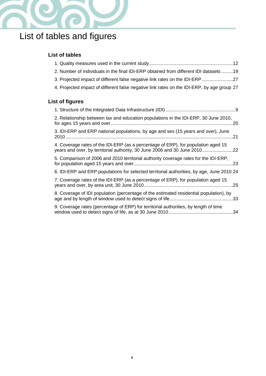

# <span id="page-3-0"></span>List of tables and figures

## **List of tables**

| 2. Number of individuals in the final IDI-ERP obtained from different IDI datasets 19                                                                          |
|----------------------------------------------------------------------------------------------------------------------------------------------------------------|
| 3. Projected impact of different false negative link rates on the IDI-ERP 27                                                                                   |
| 4. Projected impact of different false negative link rates on the IDI-ERP, by age group 27                                                                     |
| <b>List of figures</b>                                                                                                                                         |
|                                                                                                                                                                |
| 2. Relationship between tax and education populations in the IDI-ERP, 30 June 2010,                                                                            |
| 3. IDI-ERP and ERP national populations, by age and sex (15 years and over), June                                                                              |
| 4. Coverage rates of the IDI-ERP (as a percentage of ERP), for population aged 15<br>years and over, by territorial authority, 30 June 2006 and 30 June 201022 |
| 5. Comparison of 2006 and 2010 territorial authority coverage rates for the IDI-ERP,                                                                           |
| 6. IDI-ERP and ERP populations for selected territorial authorities, by age, June 2010 24                                                                      |
| 7. Coverage rates of the IDI-ERP (as a percentage of ERP), for population aged 15                                                                              |
| 8. Coverage of IDI population (percentage of the estimated residential population), by                                                                         |
| 9. Coverage rates (percentage of ERP) for territorial authorities, by length of time                                                                           |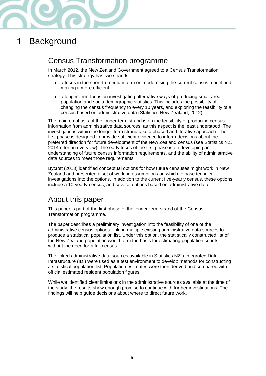

# <span id="page-4-0"></span>1 Background

# <span id="page-4-1"></span>Census Transformation programme

In March 2012, the New Zealand Government agreed to a Census Transformation strategy. This strategy has two strands:

- a focus in the short-to-medium term on modernising the current census model and making it more efficient
- a longer-term focus on investigating alternative ways of producing small-area population and socio-demographic statistics. This includes the possibility of changing the census frequency to every 10 years, and exploring the feasibility of a census based on administrative data (Statistics New Zealand, 2012).

The main emphasis of the longer-term strand is on the feasibility of producing census information from administrative data sources, as this aspect is the least understood. The investigations within the longer-term strand take a phased and iterative approach. The first phase is designed to provide sufficient evidence to inform decisions about the preferred direction for future development of the New Zealand census (see Statistics NZ, 2014a, for an overview). The early focus of the first phase is on developing an understanding of future census information requirements, and the ability of administrative data sources to meet those requirements.

Bycroft (2013) identified conceptual options for how future censuses might work in New Zealand and presented a set of working assumptions on which to base technical investigations into the options. In addition to the current five-yearly census, these options include a 10-yearly census, and several options based on administrative data.

# <span id="page-4-2"></span>About this paper

This paper is part of the first phase of the longer-term strand of the Census Transformation programme.

The paper describes a preliminary investigation into the feasibility of one of the administrative census options: linking multiple existing administrative data sources to produce a statistical population list. Under this option, the statistically constructed list of the New Zealand population would form the basis for estimating population counts without the need for a full census.

The linked administrative data sources available in Statistics NZ's Integrated Data Infrastructure (IDI) were used as a test environment to develop methods for constructing a statistical population list. Population estimates were then derived and compared with official estimated resident population figures.

While we identified clear limitations in the administrative sources available at the time of the study, the results show enough promise to continue with further investigations. The findings will help guide decisions about where to direct future work.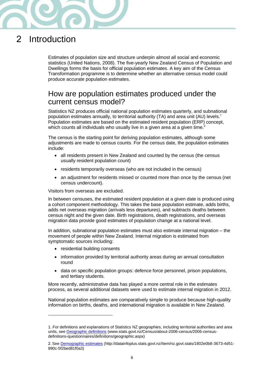

# <span id="page-5-0"></span>2 Introduction

Estimates of population size and structure underpin almost all social and economic statistics (United Nations, 2008). The five-yearly New Zealand Census of Population and Dwellings forms the basis for official population estimates. A key aim of the Census Transformation programme is to determine whether an alternative census model could produce accurate population estimates.

# <span id="page-5-1"></span>How are population estimates produced under the current census model?

Statistics NZ produces official national population estimates quarterly, and subnational population estimates annually, to territorial authority (TA) and area unit (AU) levels.<sup>1</sup> Population estimates are based on the estimated resident population (ERP) concept, which counts all individuals who usually live in a given area at a given time.<sup>2</sup>

The census is the starting point for deriving population estimates, although some adjustments are made to census counts. For the census date, the population estimates include:

- all residents present in New Zealand and counted by the census (the census usually resident population count)
- residents temporarily overseas (who are not included in the census)
- an adjustment for residents missed or counted more than once by the census (net census undercount).

Visitors from overseas are excluded.

In between censuses, the estimated resident population at a given date is produced using a cohort component methodology. This takes the base population estimate, adds births, adds net overseas migration (arrivals less departures), and subtracts deaths between census night and the given date. Birth registrations, death registrations, and overseas migration data provide good estimates of population change at a national level.

In addition, subnational population estimates must also estimate internal migration – the movement of people within New Zealand. Internal migration is estimated from symptomatic sources including:

• residential building consents

 $\overline{a}$ 

- information provided by territorial authority areas during an annual consultation round
- data on specific population groups: defence force personnel, prison populations, and tertiary students.

More recently, administrative data has played a more central role in the estimates process, as several additional datasets were used to estimate internal migration in 2012.

National population estimates are comparatively simple to produce because high-quality information on births, deaths, and international migration is available in New Zealand.

<sup>1.</sup> For definitions and explanations of Statistics NZ geographies, including territorial authorities and area units, see [Geographic definitions](http://www.stats.govt.nz/Census/about-2006-census/2006-census-definitions-questionnaires/definitions/geographic.aspx) (www.stats.govt.nz/Census/about-2006-census/2006-censusdefinitions-questionnaires/definitions/geographic.aspx)

<sup>2.</sup> Se[e Demographic estimates](http://datainfoplus.stats.govt.nz/Item/nz.govt.stats/1802e0b8-3673-4d51-890c-5f2bed81f0a3) (http://datainfoplus.stats.govt.nz/Item/nz.govt.stats/1802e0b8-3673-4d51- 890c-5f2bed81f0a3)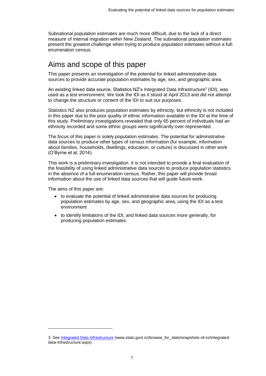Subnational population estimates are much more difficult, due to the lack of a direct measure of internal migration within New Zealand. The subnational population estimates present the greatest challenge when trying to produce population estimates without a fullenumeration census.

# <span id="page-6-0"></span>Aims and scope of this paper

This paper presents an investigation of the potential for linked administrative data sources to provide accurate population estimates by age, sex, and geographic area.

An existing linked data source, Statistics NZ's Integrated Data Infrastructure<sup>3</sup> (IDI), was used as a test environment. We took the IDI as it stood at April 2013 and did not attempt to change the structure or content of the IDI to suit our purposes.

Statistics NZ also produces population estimates by ethnicity, but ethnicity is not included in this paper due to the poor quality of ethnic information available in the IDI at the time of this study. Preliminary investigations revealed that only 65 percent of individuals had an ethnicity recorded and some ethnic groups were significantly over-represented.

The focus of this paper is solely population estimates. The potential for administrative data sources to produce other types of census information (for example, information about families, households, dwellings, education, or culture) is discussed in other work (O'Byrne et al, 2014).

This work is a preliminary investigation. It is not intended to provide a final evaluation of the feasibility of using linked administrative data sources to produce population statistics in the absence of a full-enumeration census. Rather, this paper will provide broad information about the use of linked data sources that will guide future work.

The aims of this paper are:

l

- to evaluate the potential of linked administrative data sources for producing population estimates by age, sex, and geographic area, using the IDI as a test environment
- to identify limitations of the IDI, and linked data sources more generally, for producing population estimates.

<sup>3</sup>. See [Integrated Data Infrastructure](http://www.stats.govt.nz/browse_for_stats/snapshots-of-nz/integrated-data-infrastructure.aspx) (www.stats.govt.nz/browse\_for\_stats/snapshots-of-nz/integrateddata-infrastructure.aspx)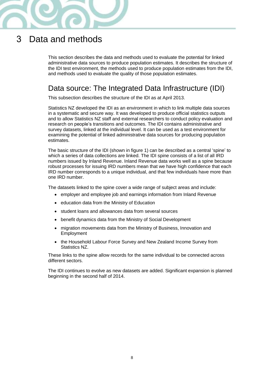

# <span id="page-7-0"></span>3 Data and methods

This section describes the data and methods used to evaluate the potential for linked administrative data sources to produce population estimates. It describes the structure of the IDI test environment, the methods used to produce population estimates from the IDI, and methods used to evaluate the quality of those population estimates.

# <span id="page-7-1"></span>Data source: The Integrated Data Infrastructure (IDI)

This subsection describes the structure of the IDI as at April 2013.

Statistics NZ developed the IDI as an environment in which to link multiple data sources in a systematic and secure way. It was developed to produce official statistics outputs and to allow Statistics NZ staff and external researchers to conduct policy evaluation and research on people's transitions and outcomes. The IDI contains administrative and survey datasets, linked at the individual level. It can be used as a test environment for examining the potential of linked administrative data sources for producing population estimates.

The basic structure of the IDI (shown in figure 1) can be described as a central 'spine' to which a series of data collections are linked. The IDI spine consists of a list of all IRD numbers issued by Inland Revenue. Inland Revenue data works well as a spine because robust processes for issuing IRD numbers mean that we have high confidence that each IRD number corresponds to a unique individual, and that few individuals have more than one IRD number.

The datasets linked to the spine cover a wide range of subject areas and include:

- employer and employee job and earnings information from Inland Revenue
- education data from the Ministry of Education
- student loans and allowances data from several sources
- benefit dynamics data from the Ministry of Social Development
- migration movements data from the Ministry of Business, Innovation and Employment
- the Household Labour Force Survey and New Zealand Income Survey from Statistics NZ.

These links to the spine allow records for the same individual to be connected across different sectors.

The IDI continues to evolve as new datasets are added. Significant expansion is planned beginning in the second half of 2014.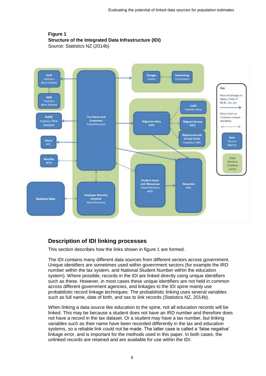### <span id="page-8-0"></span>**Figure 1 Structure of the Integrated Data Infrastructure (IDI)**  Source: Statistics NZ (2014b)



# **Description of IDI linking processes**

This section describes how the links shown in figure 1 are formed.

The IDI contains many different data sources from different sectors across government. Unique identifiers are sometimes used within government sectors (for example the IRD number within the tax system, and National Student Number within the education system). Where possible, records in the IDI are linked directly using unique identifiers such as these. However, in most cases these unique identifiers are not held in common across different government agencies, and linkages to the IDI spine mainly use probabilistic record linkage techniques. The probabilistic linking uses several variables such as full name, date of birth, and sex to link records (Statistics NZ, 2014b).

When linking a data source like education to the spine, not all education records will be linked. This may be because a student does not have an IRD number and therefore does not have a record in the tax dataset. Or a student may have a tax number, but linking variables such as their name have been recorded differently in the tax and education systems, so a reliable link could not be made. The latter case is called a 'false negative' linkage error, and is important for the methods used in this paper. In both cases, the unlinked records are retained and are available for use within the IDI.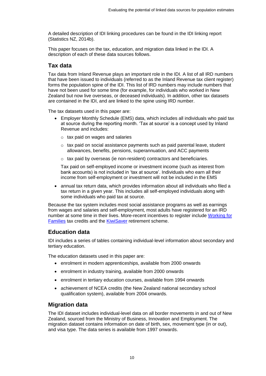A detailed description of IDI linking procedures can be found in the IDI linking report (Statistics NZ, 2014b).

This paper focuses on the tax, education, and migration data linked in the IDI. A description of each of these data sources follows.

## **Tax data**

Tax data from Inland Revenue plays an important role in the IDI. A list of all IRD numbers that have been issued to individuals (referred to as the Inland Revenue tax client register) forms the population spine of the IDI. This list of IRD numbers may include numbers that have not been used for some time (for example, for individuals who worked in New Zealand but now live overseas, or deceased individuals). In addition, other tax datasets are contained in the IDI, and are linked to the spine using IRD number.

The tax datasets used in this paper are:

- Employer Monthly Schedule (EMS) data, which includes all individuals who paid tax at source during the reporting month. 'Tax at source' is a concept used by Inland Revenue and includes:
	- $\circ$  tax paid on wages and salaries
	- $\circ$  tax paid on social assistance payments such as paid parental leave, student allowances, benefits, pensions, superannuation, and ACC payments
	- o tax paid by overseas (ie non-resident) contractors and beneficiaries.

Tax paid on self-employed income or investment income (such as interest from bank accounts) is not included in 'tax at source'. Individuals who earn all their income from self-employment or investment will not be included in the EMS

 annual tax return data, which provides information about all individuals who filed a tax return in a given year. This includes all self-employed individuals along with some individuals who paid tax at source.

Because the tax system includes most social assistance programs as well as earnings from wages and salaries and self-employment, most adults have registered for an IRD number at some time in their lives. More-recent incentives to register include [Working for](http://www.workingforfamilies.govt.nz/) [Families](http://www.workingforfamilies.govt.nz/) tax credits and the [KiwiSaver](https://www.kiwisaver.govt.nz/) retirement scheme.

## **Education data**

IDI includes a series of tables containing individual-level information about secondary and tertiary education.

The education datasets used in this paper are:

- enrolment in modern apprenticeships, available from 2000 onwards
- enrolment in industry training, available from 2000 onwards
- enrolment in tertiary education courses, available from 1994 onwards
- achievement of NCEA credits (the New Zealand national secondary school qualification system), available from 2004 onwards.

## **Migration data**

The IDI dataset includes individual-level data on all border movements in and out of New Zealand, sourced from the Ministry of Business, Innovation and Employment. The migration dataset contains information on date of birth, sex, movement type (in or out), and visa type. The data series is available from 1997 onwards.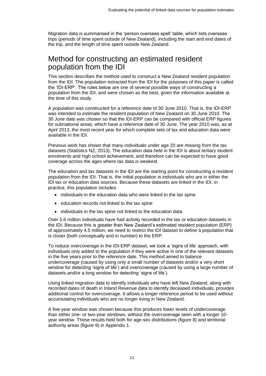Migration data is summarised in the 'person overseas spell' table, which lists overseas trips (periods of time spent outside of New Zealand), including the start and end dates of the trip, and the length of time spent outside New Zealand.

# <span id="page-10-0"></span>Method for constructing an estimated resident population from the IDI

This section describes the method used to construct a New Zealand resident population from the IDI. The population extracted from the IDI for the purposes of this paper is called the 'IDI-ERP'. The rules below are one of several possible ways of constructing a population from the IDI, and were chosen as the best, given the information available at the time of this study.

A population was constructed for a reference date of 30 June 2010. That is, the IDI-ERP was intended to estimate the resident population of New Zealand on 30 June 2010. The 30 June date was chosen so that the IDI-ERP can be compared with official ERP figures for subnational areas, which have a reference date of 30 June. The year 2010 was, as at April 2013, the most recent year for which complete sets of tax and education data were available in the IDI.

Previous work has shown that many individuals under age 20 are missing from the tax datasets (Statistics NZ, 2013). The education data held in the IDI is about tertiary student enrolments and high school achievement, and therefore can be expected to have good coverage across the ages where tax data is weakest.

The education and tax datasets in the IDI are the starting point for constructing a resident population from the IDI. That is, the initial population is individuals who are in either the IDI tax or education data sources. Because these datasets are linked in the IDI, in practice, this population includes:

- individuals in the education data who were linked to the tax spine
- education records not linked to the tax spine
- individuals in the tax spine not linked to the education data.

Over 5.6 million individuals have had activity recorded in the tax or education datasets in the IDI. Because this is greater than New Zealand's estimated resident population (ERP) of approximately 4.5 million, we need to restrict the IDI dataset to define a population that is closer (both conceptually and in number) to the ERP.

To reduce overcoverage in the IDI-ERP dataset, we took a 'signs of life' approach, with individuals only added to the population if they were active in one of the relevant datasets in the five years prior to the reference date. This method aimed to balance undercoverage (caused by using only a small number of datasets and/or a very short window for detecting 'signs of life') and overcoverage (caused by using a large number of datasets and/or a long window for detecting 'signs of life').

Using linked migration data to identify individuals who have left New Zealand, along with recorded dates of death in Inland Revenue data to identify deceased individuals, provides additional control for overcoverage. It allows a longer reference period to be used without accumulating individuals who are no longer living in New Zealand.

A five-year window was chosen because this produces lower levels of undercoverage than either one- or two-year windows, without the overcoverage seen with a longer 10 year window. These results held both for age-sex distributions (figure 8) and territorial authority areas (figure 9) in Appendix 1.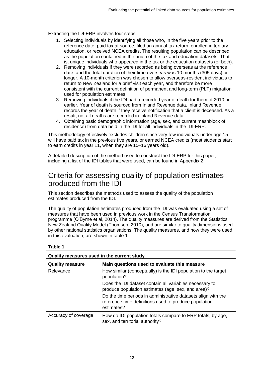Extracting the IDI-ERP involves four steps:

- 1. Selecting individuals by identifying all those who, in the five years prior to the reference date, paid tax at source, filed an annual tax return, enrolled in tertiary education, or received NCEA credits. The resulting population can be described as the population contained in the union of the tax and education datasets. That is, unique individuals who appeared in the tax or the education datasets (or both).
- 2. Removing individuals if they were recorded as being overseas at the reference date, and the total duration of their time overseas was 10 months (305 days) or longer. A 10-month criterion was chosen to allow overseas-resident individuals to return to New Zealand for a brief visit each year, and therefore be more consistent with the current definition of permanent and long-term (PLT) migration used for population estimates.
- 3. Removing individuals if the IDI had a recorded year of death for them of 2010 or earlier. Year of death is sourced from Inland Revenue data. Inland Revenue records the year of death if they receive notification that a client is deceased. As a result, not all deaths are recorded in Inland Revenue data.
- 4. Obtaining basic demographic information (age, sex, and current meshblock of residence) from data held in the IDI for all individuals in the IDI-ERP.

This methodology effectively excludes children since very few individuals under age 15 will have paid tax in the previous five years, or earned NCEA credits (most students start to earn credits in year 11, when they are 15–16 years old).

A detailed description of the method used to construct the IDI-ERP for this paper, including a list of the IDI tables that were used, can be found in Appendix 2.

# <span id="page-11-0"></span>Criteria for assessing quality of population estimates produced from the IDI

This section describes the methods used to assess the quality of the population estimates produced from the IDI.

The quality of population estimates produced from the IDI was evaluated using a set of measures that have been used in previous work in the Census Transformation programme (O'Byrne et al, 2014). The quality measures are derived from the Statistics New Zealand Quality Model (Thomson, 2010), and are similar to quality dimensions used by other national statistics organisations. The quality measures, and how they were used in this evaluation, are shown in table 1.

<span id="page-11-1"></span>

| Quality measures used in the current study                             |                                                                                                                                      |  |  |  |  |
|------------------------------------------------------------------------|--------------------------------------------------------------------------------------------------------------------------------------|--|--|--|--|
| Main questions used to evaluate this measure<br><b>Quality measure</b> |                                                                                                                                      |  |  |  |  |
| Relevance                                                              | How similar (conceptually) is the IDI population to the target<br>population?                                                        |  |  |  |  |
|                                                                        | Does the IDI dataset contain all variables necessary to<br>produce population estimates (age, sex, and area)?                        |  |  |  |  |
|                                                                        | Do the time periods in administrative datasets align with the<br>reference time definitions used to produce population<br>estimates? |  |  |  |  |
| Accuracy of coverage                                                   | How do IDI population totals compare to ERP totals, by age,<br>sex, and territorial authority?                                       |  |  |  |  |

#### **Table 1**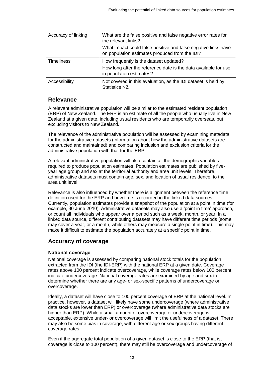| Accuracy of linking | What are the false positive and false negative error rates for<br>the relevant links?<br>What impact could false positive and false negative links have |  |  |
|---------------------|---------------------------------------------------------------------------------------------------------------------------------------------------------|--|--|
|                     | on population estimates produced from the IDI?                                                                                                          |  |  |
| <b>Timeliness</b>   | How frequently is the dataset updated?                                                                                                                  |  |  |
|                     | How long after the reference date is the data available for use<br>in population estimates?                                                             |  |  |
| Accessibility       | Not covered in this evaluation, as the IDI dataset is held by<br><b>Statistics NZ</b>                                                                   |  |  |

## **Relevance**

A relevant administrative population will be similar to the estimated resident population (ERP) of New Zealand. The ERP is an estimate of all the people who usually live in New Zealand at a given date, including usual residents who are temporarily overseas, but excluding visitors to New Zealand.

The relevance of the administrative population will be assessed by examining metadata for the administrative datasets (information about how the administrative datasets are constructed and maintained) and comparing inclusion and exclusion criteria for the administrative population with that for the ERP.

A relevant administrative population will also contain all the demographic variables required to produce population estimates. Population estimates are published by fiveyear age group and sex at the territorial authority and area unit levels. Therefore, administrative datasets must contain age, sex, and location of usual residence, to the area unit level.

Relevance is also influenced by whether there is alignment between the reference time definition used for the ERP and how time is recorded in the linked data sources. Currently, population estimates provide a snapshot of the population at a point in time (for example, 30 June 2010). Administrative datasets may also use a 'point in time' approach, or count all individuals who appear over a period such as a week, month, or year. In a linked data source, different contributing datasets may have different time periods (some may cover a year, or a month, while others may measure a single point in time). This may make it difficult to estimate the population accurately at a specific point in time.

## **Accuracy of coverage**

#### National coverage

National coverage is assessed by comparing national stock totals for the population extracted from the IDI (the IDI-ERP) with the national ERP at a given date. Coverage rates above 100 percent indicate overcoverage, while coverage rates below 100 percent indicate undercoverage. National coverage rates are examined by age and sex to determine whether there are any age- or sex-specific patterns of undercoverage or overcoverage.

Ideally, a dataset will have close to 100 percent coverage of ERP at the national level. In practice, however, a dataset will likely have some undercoverage (where administrative data stocks are lower than ERP) or overcoverage (where administrative data stocks are higher than ERP). While a small amount of overcoverage or undercoverage is acceptable, extensive under- or overcoverage will limit the usefulness of a dataset. There may also be some bias in coverage, with different age or sex groups having different coverage rates.

Even if the aggregate total population of a given dataset is close to the ERP (that is, coverage is close to 100 percent), there may still be overcoverage and undercoverage of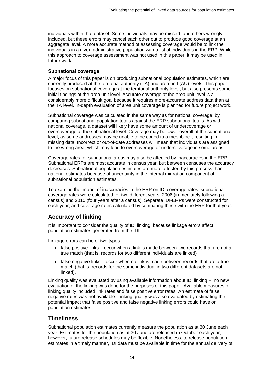individuals within that dataset. Some individuals may be missed, and others wrongly included, but these errors may cancel each other out to produce good coverage at an aggregate level. A more accurate method of assessing coverage would be to link the individuals in a given administrative population with a list of individuals in the ERP. While this approach to coverage assessment was not used in this paper, it may be used in future work.

#### Subnational coverage

A major focus of this paper is on producing subnational population estimates, which are currently produced at the territorial authority (TA) and area unit (AU) levels. This paper focuses on subnational coverage at the territorial authority level, but also presents some initial findings at the area unit level. Accurate coverage at the area unit level is a considerably more difficult goal because it requires more-accurate address data than at the TA level. In-depth evaluation of area unit coverage is planned for future project work.

Subnational coverage was calculated in the same way as for national coverage: by comparing subnational population totals against the ERP subnational totals. As with national coverage, a dataset will likely have some amount of undercoverage or overcoverage at the subnational level. Coverage may be lower overall at the subnational level, as some addresses may be unable to be coded to a meshblock, resulting in missing data. Incorrect or out-of-date addresses will mean that individuals are assigned to the wrong area, which may lead to overcoverage or undercoverage in some areas.

Coverage rates for subnational areas may also be affected by inaccuracies in the ERP. Subnational ERPs are most accurate in census year, but between censuses the accuracy decreases. Subnational population estimates are more affected by this process than national estimates because of uncertainty in the internal migration component of subnational population estimates.

To examine the impact of inaccuracies in the ERP on IDI coverage rates, subnational coverage rates were calculated for two different years: 2006 (immediately following a census) and 2010 (four years after a census). Separate IDI-ERPs were constructed for each year, and coverage rates calculated by comparing these with the ERP for that year.

## **Accuracy of linking**

It is important to consider the quality of IDI linking, because linkage errors affect population estimates generated from the IDI.

Linkage errors can be of two types:

- $\bullet$  false positive links occur when a link is made between two records that are not a true match (that is, records for two different individuals are linked)
- $\bullet$  false negative links occur when no link is made between records that are a true match (that is, records for the same individual in two different datasets are not linked).

Linking quality was evaluated by using available information about IDI linking – no new evaluation of the linking was done for the purposes of this paper. Available measures of linking quality included link rates and false positive error rates. An estimate of false negative rates was not available. Linking quality was also evaluated by estimating the potential impact that false positive and false negative linking errors could have on population estimates.

### **Timeliness**

Subnational population estimates currently measure the population as at 30 June each year. Estimates for the population as at 30 June are released in October each year; however, future release schedules may be flexible. Nonetheless, to release population estimates in a timely manner, IDI data must be available in time for the annual delivery of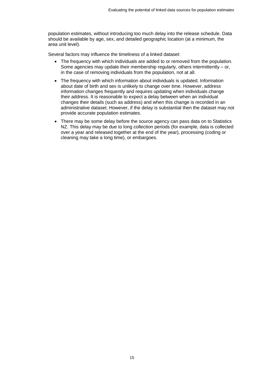population estimates, without introducing too much delay into the release schedule. Data should be available by age, sex, and detailed geographic location (at a minimum, the area unit level).

Several factors may influence the timeliness of a linked dataset:

- The frequency with which individuals are added to or removed from the population. Some agencies may update their membership regularly, others intermittently – or, in the case of removing individuals from the population, not at all.
- The frequency with which information about individuals is updated. Information about date of birth and sex is unlikely to change over time. However, address information changes frequently and requires updating when individuals change their address. It is reasonable to expect a delay between when an individual changes their details (such as address) and when this change is recorded in an administrative dataset. However, if the delay is substantial then the dataset may not provide accurate population estimates.
- There may be some delay before the source agency can pass data on to Statistics NZ. This delay may be due to long collection periods (for example, data is collected over a year and released together at the end of the year), processing (coding or cleaning may take a long time), or embargoes.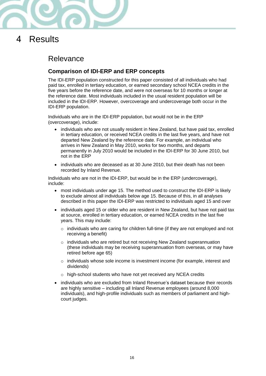

<span id="page-15-0"></span>4 Results

# <span id="page-15-1"></span>Relevance

# **Comparison of IDI-ERP and ERP concepts**

The IDI-ERP population constructed for this paper consisted of all individuals who had paid tax, enrolled in tertiary education, or earned secondary school NCEA credits in the five years before the reference date, and were not overseas for 10 months or longer at the reference date. Most individuals included in the usual resident population will be included in the IDI-ERP. However, overcoverage and undercoverage both occur in the IDI-ERP population.

Individuals who are in the IDI-ERP population, but would not be in the ERP (overcoverage), include:

- individuals who are not usually resident in New Zealand, but have paid tax, enrolled in tertiary education, or received NCEA credits in the last five years, and have not departed New Zealand by the reference date. For example, an individual who arrives in New Zealand in May 2010, works for two months, and departs permanently in July 2010 would be included in the IDI-ERP for 30 June 2010, but not in the ERP
- individuals who are deceased as at 30 June 2010, but their death has not been recorded by Inland Revenue.

Individuals who are not in the IDI-ERP, but would be in the ERP (undercoverage), include:

- most individuals under age 15. The method used to construct the IDI-ERP is likely to exclude almost all individuals below age 15. Because of this, in all analyses described in this paper the IDI-ERP was restricted to individuals aged 15 and over
- individuals aged 15 or older who are resident in New Zealand, but have not paid tax at source, enrolled in tertiary education, or earned NCEA credits in the last five years. This may include:
	- $\circ$  individuals who are caring for children full-time (if they are not employed and not receiving a benefit)
	- o individuals who are retired but not receiving New Zealand superannuation (these individuals may be receiving superannuation from overseas, or may have retired before age 65)
	- $\circ$  individuals whose sole income is investment income (for example, interest and dividends)
	- o high-school students who have not yet received any NCEA credits
- individuals who are excluded from Inland Revenue's dataset because their records are highly sensitive – including all Inland Revenue employees (around 8,000 individuals), and high-profile individuals such as members of parliament and highcourt judges.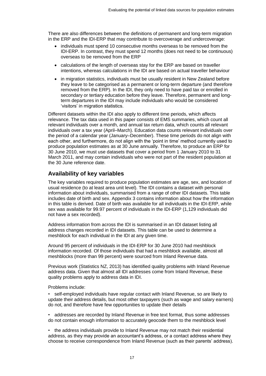There are also differences between the definitions of permanent and long-term migration in the ERP and the IDI-ERP that may contribute to overcoverage and undercoverage:

- individuals must spend 10 consecutive months overseas to be removed from the IDI-ERP. In contrast, they must spend 12 months (does not need to be continuous) overseas to be removed from the ERP
- calculations of the length of overseas stay for the ERP are based on traveller intentions, whereas calculations in the IDI are based on actual traveller behaviour
- in migration statistics, individuals must be usually resident in New Zealand before they leave to be categorised as a permanent or long-term departure (and therefore removed from the ERP). In the IDI, they only need to have paid tax or enrolled in secondary or tertiary education before they leave. Therefore, permanent and longterm departures in the IDI may include individuals who would be considered 'visitors' in migration statistics.

Different datasets within the IDI also apply to different time periods, which affects relevance. The tax data used in this paper consists of EMS summaries, which count all relevant individuals over a month, and annual tax return data, which counts all relevant individuals over a tax year (April–March). Education data counts relevant individuals over the period of a calendar year (January–December). These time periods do not align with each other, and furthermore, do not align with the 'point in time' method currently used to produce population estimates as at 30 June annually. Therefore, to produce an ERP for 30 June 2010, we must use datasets that cover a period from 1 January 2010 to 31 March 2011, and may contain individuals who were not part of the resident population at the 30 June reference date.

## **Availability of key variables**

The key variables required to produce population estimates are age, sex, and location of usual residence (to at least area unit level). The IDI contains a dataset with personal information about individuals, summarised from a range of other IDI datasets. This table includes date of birth and sex. Appendix 3 contains information about how the information in this table is derived. Date of birth was available for all individuals in the IDI-ERP, while sex was available for 99.97 percent of individuals in the IDI-ERP (1,129 individuals did not have a sex recorded).

Address information from across the IDI is summarised in an IDI dataset listing all address changes recorded in IDI datasets. This table can be used to determine a meshblock for each individual in the IDI at any given time.

Around 95 percent of individuals in the IDI-ERP for 30 June 2010 had meshblock information recorded. Of those individuals that had a meshblock available, almost all meshblocks (more than 99 percent) were sourced from Inland Revenue data.

Previous work (Statistics NZ, 2013) has identified quality problems with Inland Revenue address data. Given that almost all IDI addresses come from Inland Revenue, these quality problems apply to address data in IDI.

Problems include:

• self-employed individuals have regular contact with Inland Revenue, so are likely to update their address details, but most other taxpayers (such as wage and salary earners) do not, and therefore have few opportunities to update their details

• addresses are recorded by Inland Revenue in free text format, thus some addresses do not contain enough information to accurately geocode them to the meshblock level

• the address individuals provide to Inland Revenue may not match their residential address, as they may provide an accountant's address, or a contact address where they choose to receive correspondence from Inland Revenue (such as their parents' address).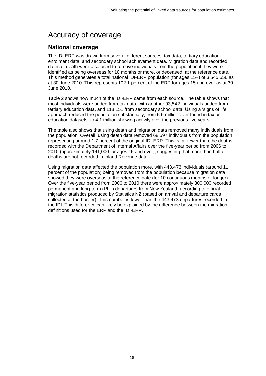# <span id="page-17-0"></span>Accuracy of coverage

## **National coverage**

The IDI-ERP was drawn from several different sources: tax data, tertiary education enrolment data, and secondary school achievement data. Migration data and recorded dates of death were also used to remove individuals from the population if they were identified as being overseas for 10 months or more, or deceased, at the reference date. This method generates a total national IDI-ERP population (for ages 15+) of 3,545,556 as at 30 June 2010. This represents 102.1 percent of the ERP for ages 15 and over as at 30 June 2010.

Table 2 shows how much of the IDI-ERP came from each source. The table shows that most individuals were added from tax data, with another 93,542 individuals added from tertiary education data, and 118,151 from secondary school data. Using a 'signs of life' approach reduced the population substantially, from 5.6 million ever found in tax or education datasets, to 4.1 million showing activity over the previous five years.

The table also shows that using death and migration data removed many individuals from the population. Overall, using death data removed 68,597 individuals from the population, representing around 1.7 percent of the original IDI-ERP. This is far fewer than the deaths recorded with the Department of Internal Affairs over the five-year period from 2006 to 2010 (approximately 141,000 for ages 15 and over), suggesting that more than half of deaths are not recorded in Inland Revenue data.

Using migration data affected the population more, with 443,473 individuals (around 11 percent of the population) being removed from the population because migration data showed they were overseas at the reference date (for 10 continuous months or longer). Over the five-year period from 2006 to 2010 there were approximately 300,000 recorded permanent and long-term (PLT) departures from New Zealand, according to official migration statistics produced by Statistics NZ (based on arrival and departure cards collected at the border). This number is lower than the 443,473 departures recorded in the IDI. This difference can likely be explained by the difference between the migration definitions used for the ERP and the IDI-ERP.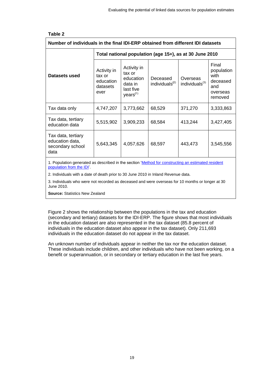<span id="page-18-0"></span>

| Number of individuals in the final IDI-ERP obtained from different IDI datasets                                                |                                                         |                                                                                    |                                        |                                        |                                                                       |  |
|--------------------------------------------------------------------------------------------------------------------------------|---------------------------------------------------------|------------------------------------------------------------------------------------|----------------------------------------|----------------------------------------|-----------------------------------------------------------------------|--|
|                                                                                                                                | Total national population (age 15+), as at 30 June 2010 |                                                                                    |                                        |                                        |                                                                       |  |
| Datasets used                                                                                                                  | Activity in<br>tax or<br>education<br>datasets<br>ever  | Activity in<br>tax or<br>education<br>data in<br>last five<br>years <sup>(1)</sup> | Deceased<br>individuals <sup>(2)</sup> | Overseas<br>individuals <sup>(3)</sup> | Final<br>population<br>with<br>deceased<br>and<br>overseas<br>removed |  |
| Tax data only                                                                                                                  | 4,747,207                                               | 3,773,662                                                                          | 68,529                                 | 371,270                                | 3,333,863                                                             |  |
| Tax data, tertiary<br>education data                                                                                           | 5,515,902                                               | 3,909,233                                                                          | 68,584                                 | 413,244                                | 3,427,405                                                             |  |
| Tax data, tertiary<br>education data,<br>secondary school<br>data                                                              | 5,643,345                                               | 4,057,626                                                                          | 68,597                                 | 443,473                                | 3,545,556                                                             |  |
| 1. Population generated as described in the section 'Method for constructing an estimated resident<br>population from the IDI. |                                                         |                                                                                    |                                        |                                        |                                                                       |  |

2. Individuals with a date of death prior to 30 June 2010 in Inland Revenue data.

3. Individuals who were not recorded as deceased and were overseas for 10 months or longer at 30 June 2010.

**Source:** Statistics New Zealand

Figure 2 shows the relationship between the populations in the tax and education (secondary and tertiary) datasets for the IDI-ERP. The figure shows that most individuals in the education dataset are also represented in the tax dataset (85.8 percent of individuals in the education dataset also appear in the tax dataset). Only 211,693 individuals in the education dataset do not appear in the tax dataset.

An unknown number of individuals appear in neither the tax nor the education dataset. These individuals include children, and other individuals who have not been working, on a benefit or superannuation, or in secondary or tertiary education in the last five years.

#### **Table 2**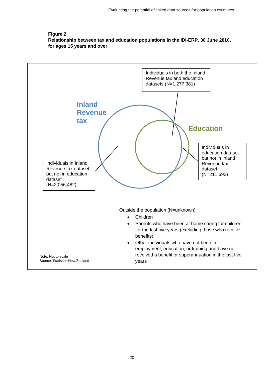### <span id="page-19-0"></span>**Figure 2 Relationship between tax and education populations in the IDI-ERP, 30 June 2010, for ages 15 years and over**

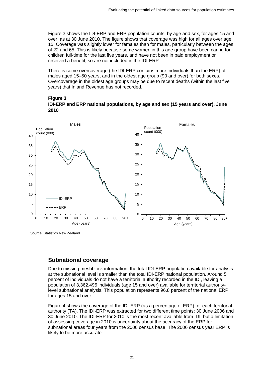Figure 3 shows the IDI-ERP and ERP population counts, by age and sex, for ages 15 and over, as at 30 June 2010. The figure shows that coverage was high for all ages over age 15. Coverage was slightly lower for females than for males, particularly between the ages of 22 and 65. This is likely because some women in this age group have been caring for children full-time for the last five years, and have not been in paid employment or received a benefit, so are not included in the IDI-ERP.

There is some overcoverage (the IDI-ERP contains more individuals than the ERP) of males aged 15–50 years, and in the oldest age group (90 and over) for both sexes. Overcoverage in the oldest age groups may be due to recent deaths (within the last five years) that Inland Revenue has not recorded.

#### <span id="page-20-0"></span>**Figure 3 IDI-ERP and ERP national populations, by age and sex (15 years and over), June 2010**



Source: Statistics New Zealand

## **Subnational coverage**

Due to missing meshblock information, the total IDI-ERP population available for analysis at the subnational level is smaller than the total IDI-ERP national population. Around 5 percent of individuals do not have a territorial authority recorded in the IDI, leaving a population of 3,362,495 individuals (age 15 and over) available for territorial authoritylevel subnational analysis. This population represents 96.8 percent of the national ERP for ages 15 and over.

Figure 4 shows the coverage of the IDI-ERP (as a percentage of ERP) for each territorial authority (TA). The IDI-ERP was extracted for two different time points: 30 June 2006 and 30 June 2010. The IDI-ERP for 2010 is the most recent available from IDI, but a limitation of assessing coverage in 2010 is uncertainty about the accuracy of the ERP for subnational areas four years from the 2006 census base. The 2006 census year ERP is likely to be more accurate.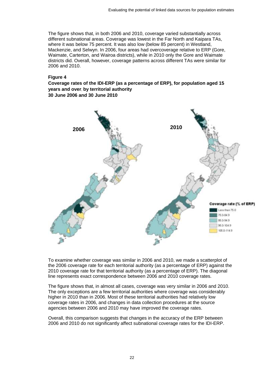The figure shows that, in both 2006 and 2010, coverage varied substantially across different subnational areas. Coverage was lowest in the Far North and Kaipara TAs, where it was below 75 percent. It was also low (below 85 percent) in Westland, Mackenzie, and Selwyn. In 2006, four areas had overcoverage relative to ERP (Gore, Waimate, Carterton, and Wairoa districts), while in 2010 only the Gore and Waimate districts did. Overall, however, coverage patterns across different TAs were similar for 2006 and 2010.

#### **Figure 4**

#### **Coverage rates of the IDI-ERP (as a percentage of ERP), for population aged 15 years and over**, **by territorial authority 30 June 2006 and 30 June 2010**

<span id="page-21-0"></span>

To examine whether coverage was similar in 2006 and 2010, we made a scatterplot of the 2006 coverage rate for each territorial authority (as a percentage of ERP) against the 2010 coverage rate for that territorial authority (as a percentage of ERP). The diagonal line represents exact correspondence between 2006 and 2010 coverage rates.

The figure shows that, in almost all cases, coverage was very similar in 2006 and 2010. The only exceptions are a few territorial authorities where coverage was considerably higher in 2010 than in 2006. Most of these territorial authorities had relatively low coverage rates in 2006, and changes in data collection procedures at the source agencies between 2006 and 2010 may have improved the coverage rates.

Overall, this comparison suggests that changes in the accuracy of the ERP between 2006 and 2010 do not significantly affect subnational coverage rates for the IDI-ERP.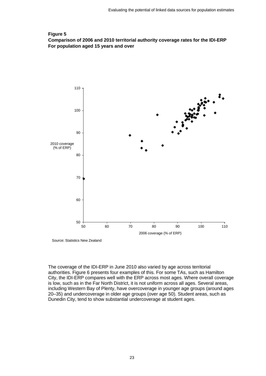### <span id="page-22-0"></span>**Figure 5 Comparison of 2006 and 2010 territorial authority coverage rates for the IDI-ERP For population aged 15 years and over**



Source: Statistics New Zealand

The coverage of the IDI-ERP in June 2010 also varied by age across territorial authorities. Figure 6 presents four examples of this. For some TAs, such as Hamilton City, the IDI-ERP compares well with the ERP across most ages. Where overall coverage is low, such as in the Far North District, it is not uniform across all ages. Several areas, including Western Bay of Plenty, have overcoverage in younger age groups (around ages 20–35) and undercoverage in older age groups (over age 50). Student areas, such as Dunedin City, tend to show substantial undercoverage at student ages.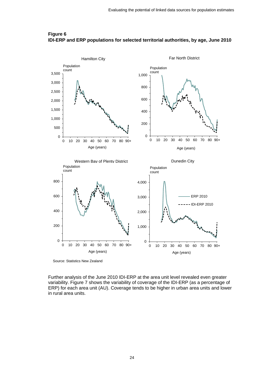

#### <span id="page-23-0"></span>**Figure 6 IDI-ERP and ERP populations for selected territorial authorities, by age, June 2010**

Source: Statistics New Zealand

Further analysis of the June 2010 IDI-ERP at the area unit level revealed even greater variability. Figure 7 shows the variability of coverage of the IDI-ERP (as a percentage of ERP) for each area unit (AU). Coverage tends to be higher in urban area units and lower in rural area units.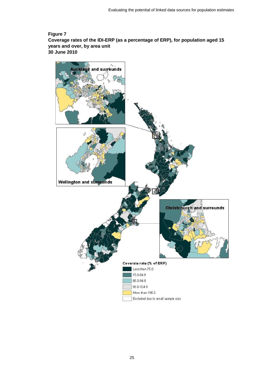### **Figure 7 Coverage rates of the IDI-ERP (as a percentage of ERP), for population aged 15 years and over, by area unit 30 June 2010**

<span id="page-24-0"></span>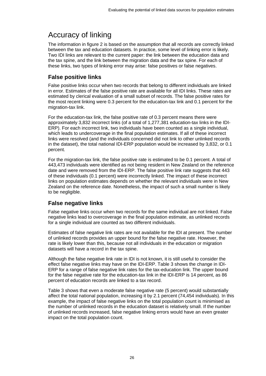# <span id="page-25-0"></span>Accuracy of linking

The information in figure 2 is based on the assumption that all records are correctly linked between the tax and education datasets. In practice, some level of linking error is likely. Two IDI links are relevant to the current paper: the link between the education data and the tax spine, and the link between the migration data and the tax spine. For each of these links, two types of linking error may arise: false positives or false negatives.

## **False positive links**

False positive links occur when two records that belong to different individuals are linked in error. Estimates of the false positive rate are available for all IDI links. These rates are estimated by clerical evaluation of a small subset of records. The false positive rates for the most recent linking were 0.3 percent for the education-tax link and 0.1 percent for the migration-tax link.

For the education-tax link, the false positive rate of 0.3 percent means there were approximately 3,832 incorrect links (of a total of 1,277,381 education-tax links in the IDI-ERP). For each incorrect link, two individuals have been counted as a single individual, which leads to undercoverage in the final population estimates. If all of these incorrect links were resolved (and the individuals concerned did not link to other unlinked records in the dataset), the total national IDI-ERP population would be increased by 3,832, or 0.1 percent.

For the migration-tax link, the false positive rate is estimated to be 0.1 percent. A total of 443,473 individuals were identified as not being resident in New Zealand on the reference date and were removed from the IDI-ERP. The false positive link rate suggests that 443 of these individuals (0.1 percent) were incorrectly linked. The impact of these incorrect links on population estimates depends on whether the relevant individuals were in New Zealand on the reference date. Nonetheless, the impact of such a small number is likely to be negligible.

## **False negative links**

False negative links occur when two records for the same individual are not linked. False negative links lead to overcoverage in the final population estimate, as unlinked records for a single individual are counted as two different individuals.

Estimates of false negative link rates are not available for the IDI at present. The number of unlinked records provides an upper bound for the false negative rate. However, the rate is likely lower than this, because not all individuals in the education or migration datasets will have a record in the tax spine.

Although the false negative link rate in IDI is not known, it is still useful to consider the effect false negative links may have on the IDI-ERP. Table 3 shows the change in IDI-ERP for a range of false negative link rates for the tax-education link. The upper bound for the false negative rate for the education-tax link in the IDI-ERP is 14 percent, as 86 percent of education records are linked to a tax record.

Table 3 shows that even a moderate false negative rate (5 percent) would substantially affect the total national population, increasing it by 2.1 percent (74,454 individuals). In this example, the impact of false negative links on the total population count is minimised as the number of unlinked records in the education dataset is relatively small. If the number of unlinked records increased, false negative linking errors would have an even greater impact on the total population count.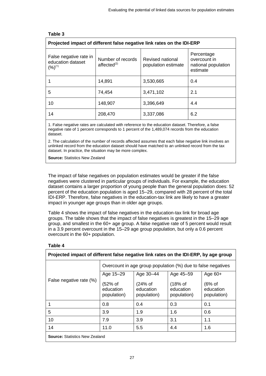<span id="page-26-0"></span>

| Projected impact of different false negative link rates on the IDI-ERP |                                        |                                         |                                                               |  |  |  |
|------------------------------------------------------------------------|----------------------------------------|-----------------------------------------|---------------------------------------------------------------|--|--|--|
| False negative rate in<br>education dataset<br>$(%)^{(1)}$             | Number of records<br>$a$ ffected $(2)$ | Revised national<br>population estimate | Percentage<br>overcount in<br>national population<br>estimate |  |  |  |
|                                                                        | 14,891                                 | 3,530,665                               | 0.4                                                           |  |  |  |
| 5                                                                      | 74,454                                 | 3,471,102                               | 2.1                                                           |  |  |  |
| 10                                                                     | 148,907                                | 3,396,649                               | 4.4                                                           |  |  |  |
| 14                                                                     | 208,470                                | 3,337,086                               | 6.2                                                           |  |  |  |

#### **Table 3**

1. False negative rates are calculated with reference to the education dataset. Therefore, a false negative rate of 1 percent corresponds to 1 percent of the 1,489,074 records from the education dataset.

2. The calculation of the number of records affected assumes that each false negative link involves an unlinked record from the education dataset should have matched to an unlinked record from the tax dataset. In practice, the situation may be more complex.

**Source:** Statistics New Zealand

The impact of false negatives on population estimates would be greater if the false negatives were clustered in particular groups of individuals. For example, the education dataset contains a larger proportion of young people than the general population does: 52 percent of the education population is aged 15–29, compared with 28 percent of the total IDI-ERP. Therefore, false negatives in the education-tax link are likely to have a greater impact in younger age groups than in older age groups.

Table 4 shows the impact of false negatives in the education-tax link for broad age groups. The table shows that the impact of false negatives is greatest in the 15–29 age group, and smallest in the 60+ age group. A false negative rate of 5 percent would result in a 3.9 percent overcount in the 15–29 age group population, but only a 0.6 percent overcount in the 60+ population.

<span id="page-26-1"></span>

| Projected impact of different false negative link rates on the IDI-ERP, by age group |                                                              |                                       |                                       |                                      |  |
|--------------------------------------------------------------------------------------|--------------------------------------------------------------|---------------------------------------|---------------------------------------|--------------------------------------|--|
|                                                                                      | Overcount in age group population (%) due to false negatives |                                       |                                       |                                      |  |
|                                                                                      | Age 15-29                                                    | Age 30-44                             | Age 45-59                             | Age $60+$                            |  |
| False negative rate (%)                                                              | (52% of<br>education<br>population)                          | $(24%$ of<br>education<br>population) | $(18%$ of<br>education<br>population) | $(6%$ of<br>education<br>population) |  |
|                                                                                      | 0.8                                                          | 0.4                                   | 0.3                                   | 0.1                                  |  |
| 5                                                                                    | 3.9                                                          | 1.9                                   | 1.6                                   | 0.6                                  |  |
| 10                                                                                   | 7.9                                                          | 3.9                                   | 3.1                                   | 1.1                                  |  |
| 14                                                                                   | 11.0                                                         | 5.5                                   | 4.4                                   | 1.6                                  |  |
| <b>Source:</b> Statistics New Zealand                                                |                                                              |                                       |                                       |                                      |  |

# **Table 4**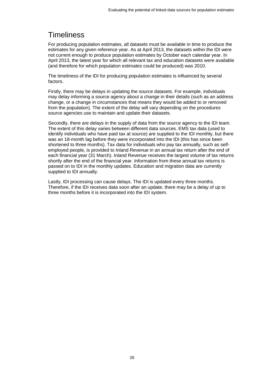# <span id="page-27-0"></span>**Timeliness**

For producing population estimates, all datasets must be available in time to produce the estimates for any given reference year. As at April 2013, the datasets within the IDI were not current enough to produce population estimates by October each calendar year. In April 2013, the latest year for which all relevant tax and education datasets were available (and therefore for which population estimates could be produced) was 2010.

The timeliness of the IDI for producing population estimates is influenced by several factors.

Firstly, there may be delays in updating the source datasets. For example, individuals may delay informing a source agency about a change in their details (such as an address change, or a change in circumstances that means they would be added to or removed from the population). The extent of the delay will vary depending on the procedures source agencies use to maintain and update their datasets.

Secondly, there are delays in the supply of data from the source agency to the IDI team. The extent of this delay varies between different data sources. EMS tax data (used to identify individuals who have paid tax at source) are supplied to the IDI monthly, but there was an 18-month lag before they were incorporated into the IDI (this has since been shortened to three months). Tax data for individuals who pay tax annually, such as selfemployed people, is provided to Inland Revenue in an annual tax return after the end of each financial year (31 March). Inland Revenue receives the largest volume of tax returns shortly after the end of the financial year. Information from these annual tax returns is passed on to IDI in the monthly updates. Education and migration data are currently supplied to IDI annually.

Lastly, IDI processing can cause delays. The IDI is updated every three months. Therefore, if the IDI receives data soon after an update, there may be a delay of up to three months before it is incorporated into the IDI system.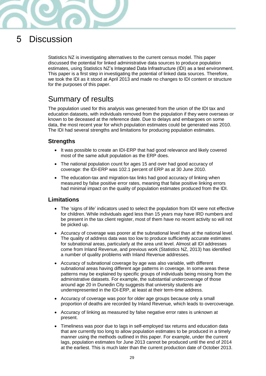

# <span id="page-28-0"></span>5 Discussion

Statistics NZ is investigating alternatives to the current census model. This paper discussed the potential for linked administrative data sources to produce population estimates, using Statistics NZ's Integrated Data Infrastructure (IDI) as a test environment. This paper is a first step in investigating the potential of linked data sources. Therefore, we took the IDI as it stood at April 2013 and made no changes to IDI content or structure for the purposes of this paper.

# <span id="page-28-1"></span>Summary of results

The population used for this analysis was generated from the union of the IDI tax and education datasets, with individuals removed from the population if they were overseas or known to be deceased at the reference date. Due to delays and embargoes on some data, the most recent year for which population estimates could be generated was 2010. The IDI had several strengths and limitations for producing population estimates.

# **Strengths**

- It was possible to create an IDI-ERP that had good relevance and likely covered most of the same adult population as the ERP does.
- The national population count for ages 15 and over had good accuracy of coverage: the IDI-ERP was 102.1 percent of ERP as at 30 June 2010.
- The education-tax and migration-tax links had good accuracy of linking when measured by false positive error rates, meaning that false positive linking errors had minimal impact on the quality of population estimates produced from the IDI.

## **Limitations**

- The 'signs of life' indicators used to select the population from IDI were not effective for children. While individuals aged less than 15 years may have IRD numbers and be present in the tax client register, most of them have no recent activity so will not be picked up.
- Accuracy of coverage was poorer at the subnational level than at the national level. The quality of address data was too low to produce sufficiently accurate estimates for subnational areas, particularly at the area unit level. Almost all IDI addresses come from Inland Revenue, and previous work (Statistics NZ, 2013) has identified a number of quality problems with Inland Revenue addresses.
- Accuracy of subnational coverage by age was also variable, with different subnational areas having different age patterns in coverage. In some areas these patterns may be explained by specific groups of individuals being missing from the administrative datasets. For example, the substantial undercoverage of those around age 20 in Dunedin City suggests that university students are underrepresented in the IDI-ERP, at least at their term-time address.
- Accuracy of coverage was poor for older age groups because only a small proportion of deaths are recorded by Inland Revenue, which leads to overcoverage.
- Accuracy of linking as measured by false negative error rates is unknown at present.
- Timeliness was poor due to lags in self-employed tax returns and education data that are currently too long to allow population estimates to be produced in a timely manner using the methods outlined in this paper. For example, under the current lags, population estimates for June 2013 cannot be produced until the end of 2014 at the earliest. This is much later than the current production date of October 2013.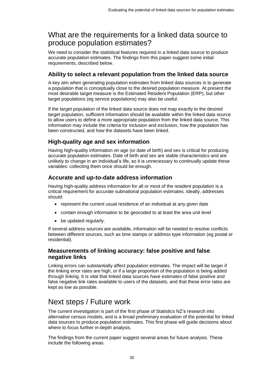# <span id="page-29-0"></span>What are the requirements for a linked data source to produce population estimates?

We need to consider the statistical features required in a linked data source to produce accurate population estimates. The findings from this paper suggest some initial requirements, described below.

## **Ability to select a relevant population from the linked data source**

A key aim when generating population estimates from linked data sources is to generate a population that is conceptually close to the desired population measure. At present the most desirable target measure is the Estimated Resident Population (ERP), but other target populations (eg service populations) may also be useful.

If the target population of the linked data source does not map exactly to the desired target population, sufficient information should be available within the linked data source to allow users to define a more appropriate population from the linked data source. This information may include the criteria for inclusion and exclusion, how the population has been constructed, and how the datasets have been linked.

## **High**-**quality age and sex information**

Having high-quality information on age (or date of birth) and sex is critical for producing accurate population estimates. Date of birth and sex are stable characteristics and are unlikely to change in an individual's life, so it is unnecessary to continually update these variables: collecting them once should be enough.

## **Accurate and up-to-date address information**

Having high-quality address information for all or most of the resident population is a critical requirement for accurate subnational population estimates. Ideally, addresses should:

- represent the current usual residence of an individual at any given date
- contain enough information to be geocoded to at least the area unit level
- be updated regularly.

If several address sources are available, information will be needed to resolve conflicts between different sources, such as time stamps or address type information (eg postal or residential).

## **Measurements of linking accuracy: false positive and false negative links**

Linking errors can substantially affect population estimates. The impact will be larger if the linking error rates are high, or if a large proportion of the population is being added through linking. It is vital that linked data sources have estimates of false positive and false negative link rates available to users of the datasets, and that these error rates are kept as low as possible.

# <span id="page-29-1"></span>Next steps / Future work

The current investigation is part of the first phase of Statistics NZ's research into alternative census models, and is a broad preliminary evaluation of the potential for linked data sources to produce population estimates. This first phase will guide decisions about where to focus further in-depth analysis.

The findings from the current paper suggest several areas for future analysis. These include the following areas.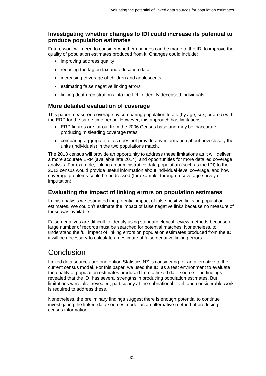## **Investigating whether changes to IDI could increase its potential to produce population estimates**

Future work will need to consider whether changes can be made to the IDI to improve the quality of population estimates produced from it. Changes could include:

- improving address quality
- reducing the lag on tax and education data
- increasing coverage of children and adolescents
- estimating false negative linking errors
- linking death registrations into the IDI to identify deceased individuals.

### **More detailed evaluation of coverage**

This paper measured coverage by comparing population totals (by age, sex, or area) with the ERP for the same time period. However, this approach has limitations:

- ERP figures are far out from the 2006 Census base and may be inaccurate, producing misleading coverage rates
- comparing aggregate totals does not provide any information about how closely the units (individuals) in the two populations match.

The 2013 census will provide an opportunity to address these limitations as it will deliver a more accurate ERP (available late 2014), and opportunities for more detailed coverage analysis. For example, linking an administrative data population (such as the IDI) to the 2013 census would provide useful information about individual-level coverage, and how coverage problems could be addressed (for example, through a coverage survey or imputation).

### **Evaluating the impact of linking errors on population estimates**

In this analysis we estimated the potential impact of false positive links on population estimates. We couldn't estimate the impact of false negative links because no measure of these was available.

False negatives are difficult to identify using standard clerical review methods because a large number of records must be searched for potential matches. Nonetheless, to understand the full impact of linking errors on population estimates produced from the IDI it will be necessary to calculate an estimate of false negative linking errors.

# <span id="page-30-0"></span>**Conclusion**

Linked data sources are one option Statistics NZ is considering for an alternative to the current census model. For this paper, we used the IDI as a test environment to evaluate the quality of population estimates produced from a linked data source. The findings revealed that the IDI has several strengths in producing population estimates. But limitations were also revealed, particularly at the subnational level, and considerable work is required to address these.

Nonetheless, the preliminary findings suggest there is enough potential to continue investigating the linked-data-sources model as an alternative method of producing census information.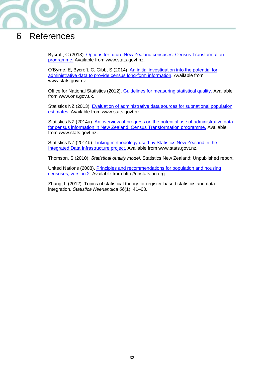

# <span id="page-31-0"></span>6 References

Bycroft, C (2013). [Options for future New Zealand censuses: Census Transformation](http://www.stats.govt.nz/methods/research-papers/topss/options-future-nz-censuses.aspx)  [programme.](http://www.stats.govt.nz/methods/research-papers/topss/options-future-nz-censuses.aspx) Available from www.stats.govt.nz.

O'Byrne, E, Bycroft, C, Gibb, S (2014). [An initial investigation into the potential for](http://www.stats.govt.nz/methods/research-papers/topss/potential-admin-data-census-long-form-needs.aspx)  [administrative data to provide census long-form information](http://www.stats.govt.nz/methods/research-papers/topss/potential-admin-data-census-long-form-needs.aspx). Available from www.stats.govt.nz.

Office for National Statistics (2012). [Guidelines for measuring statistical quality.](http://www.ons.gov.uk/ons/guide-method/method-quality/quality/guidelines-for-measuring-statistical-quality/index.html) Available from www.ons.gov.uk.

Statistics NZ (2013). [Evaluation of administrative data sources for subnational population](http://www.stats.govt.nz/browse_for_stats/population/estimates_and_projections/eval-admin-subnat-pop-est.aspx)  [estimates.](http://www.stats.govt.nz/browse_for_stats/population/estimates_and_projections/eval-admin-subnat-pop-est.aspx) Available from www.stats.govt.nz.

Statistics NZ (2014a). An overview of progress on the potential use of administrative data [for census information in New Zealand: Census Transformation programme.](http://www.stats.govt.nz/methods/research-papers/topss/census-admin-data.aspx) Available from www.stats.govt.nz.

Statistics NZ (2014b). [Linking methodology used by Statistics New](http://www.stats.govt.nz/browse_for_stats/snapshots-of-nz/integrated-data-infrastructure/linking-methodology-statsnz-idi.aspx) Zealand in the [Integrated Data Infrastructure project.](http://www.stats.govt.nz/browse_for_stats/snapshots-of-nz/integrated-data-infrastructure/linking-methodology-statsnz-idi.aspx) Available from www.stats.govt.nz.

Thomson, S (2010). Statistical quality model. Statistics New Zealand: Unpublished report.

United Nations (2008). [Principles and recommendations for population and housing](http://unstats.un.org/unsd/demographic/sources/census/census3.htm)  [censuses, version 2.](http://unstats.un.org/unsd/demographic/sources/census/census3.htm) Available from http://unstats.un.org.

Zhang, L (2012). Topics of statistical theory for register-based statistics and data integration. Statistica Neerlandica 66(1), 41–63.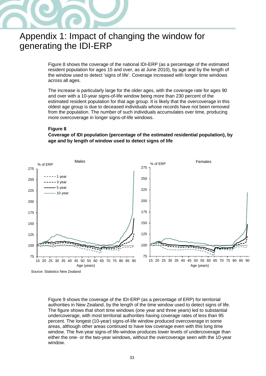

# <span id="page-32-0"></span>Appendix 1: Impact of changing the window for generating the IDI-ERP

Figure 8 shows the coverage of the national IDI-ERP (as a percentage of the estimated resident population for ages 15 and over, as at June 2010), by age and by the length of the window used to detect 'signs of life'. Coverage increased with longer time windows across all ages.

The increase is particularly large for the older ages, with the coverage rate for ages 90 and over with a 10-year signs-of-life window being more than 230 percent of the estimated resident population for that age group. It is likely that the overcoverage in this oldest age group is due to deceased individuals whose records have not been removed from the population. The number of such individuals accumulates over time, producing more overcoverage in longer signs-of-life windows.

#### **Figure 8**

<span id="page-32-1"></span>**Coverage of IDI population (percentage of the estimated residential population), by age and by length of window used to detect signs of life**



Figure 9 shows the coverage of the IDI-ERP (as a percentage of ERP) for territorial authorities in New Zealand, by the length of the time window used to detect signs of life. The figure shows that short time windows (one year and three years) led to substantial undercoverage, with most territorial authorities having coverage rates of less than 95 percent. The longest (10-year) signs-of-life window produced overcoverage in some areas, although other areas continued to have low coverage even with this long time window. The five-year signs-of life-window produces lower levels of undercoverage than either the one- or the two-year windows, without the overcoverage seen with the 10-year window.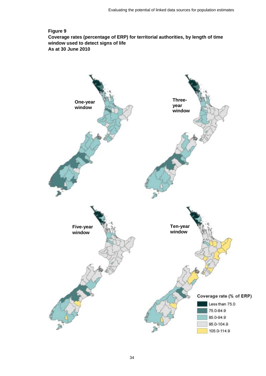### **Figure 9 Coverage rates (percentage of ERP) for territorial authorities, by length of time window used to detect signs of life As at 30 June 2010**

<span id="page-33-0"></span>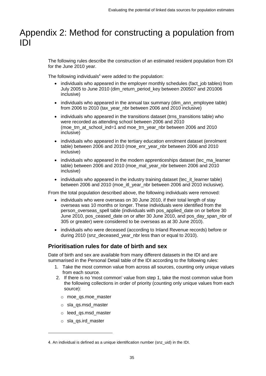# <span id="page-34-0"></span>Appendix 2: Method for constructing a population from IDI

The following rules describe the construction of an estimated resident population from IDI for the June 2010 year.

The following individuals $4$  were added to the population:

- individuals who appeared in the employer monthly schedules (fact job tables) from July 2005 to June 2010 (dim\_return\_period\_key between 200507 and 201006 inclusive)
- individuals who appeared in the annual tax summary (dim\_ann\_employee table) from 2006 to 2010 (tax\_year\_nbr between 2006 and 2010 inclusive)
- individuals who appeared in the transitions dataset (trns\_transitions table) who were recorded as attending school between 2006 and 2010 (moe\_trn\_at\_school\_ind=1 and moe\_trn\_year\_nbr between 2006 and 2010 inclusive)
- individuals who appeared in the tertiary education enrolment dataset (enrolment table) between 2006 and 2010 (moe\_enr\_year\_nbr between 2006 and 2010 inclusive)
- individuals who appeared in the modern apprenticeships dataset (tec\_ma\_learner table) between 2006 and 2010 (moe\_mal\_year\_nbr between 2006 and 2010 inclusive)
- individuals who appeared in the industry training dataset (tec\_it\_learner table) between 2006 and 2010 (moe\_itl\_year\_nbr between 2006 and 2010 inclusive).

From the total population described above, the following individuals were removed:

- individuals who were overseas on 30 June 2010, if their total length of stay overseas was 10 months or longer. These individuals were identified from the person\_overseas\_spell table (individuals with pos\_applied\_date on or before 30 June 2010, pos\_ceased\_date on or after 30 June 2010, and pos\_day\_span\_nbr of 305 or greater) were considered to be overseas as at 30 June 2010).
- individuals who were deceased (according to Inland Revenue records) before or during 2010 (snz\_deceased\_year\_nbr less than or equal to 2010).

# **Prioritisation rules for date of birth and sex**

Date of birth and sex are available from many different datasets in the IDI and are summarised in the Personal Detail table of the IDI according to the following rules:

- 1. Take the most common value from across all sources, counting only unique values from each source.
- 2. If there is no 'most common' value from step 1, take the most common value from the following collections in order of priority (counting only unique values from each source):
	- o moe\_qs.moe\_master
	- o sla\_qs.msd\_master
	- o leed\_qs.msd\_master
	- o sla\_qs.ird\_master

 $\overline{a}$ 

<sup>4</sup>. An individual is defined as a unique identification number (snz\_uid) in the IDI.